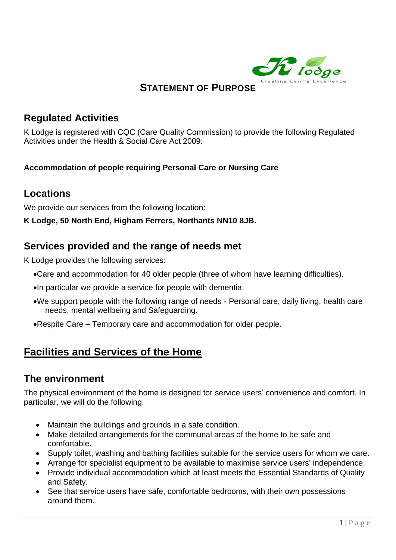

#### **STATEMENT OF PURPOSE**

#### **Regulated Activities**

K Lodge is registered with CQC (Care Quality Commission) to provide the following Regulated Activities under the Health & Social Care Act 2009:

#### **Accommodation of people requiring Personal Care or Nursing Care**

#### **Locations**

We provide our services from the following location:

**K Lodge, 50 North End, Higham Ferrers, Northants NN10 8JB.**

#### **Services provided and the range of needs met**

K Lodge provides the following services:

- •Care and accommodation for 40 older people (three of whom have learning difficulties).
- •In particular we provide a service for people with dementia.
- •We support people with the following range of needs Personal care, daily living, health care needs, mental wellbeing and Safeguarding.
- •Respite Care Temporary care and accommodation for older people.

# **Facilities and Services of the Home**

#### **The environment**

The physical environment of the home is designed for service users' convenience and comfort. In particular, we will do the following.

- Maintain the buildings and grounds in a safe condition.
- Make detailed arrangements for the communal areas of the home to be safe and comfortable.
- Supply toilet, washing and bathing facilities suitable for the service users for whom we care.
- Arrange for specialist equipment to be available to maximise service users' independence.
- Provide individual accommodation which at least meets the Essential Standards of Quality and Safety.
- See that service users have safe, comfortable bedrooms, with their own possessions around them.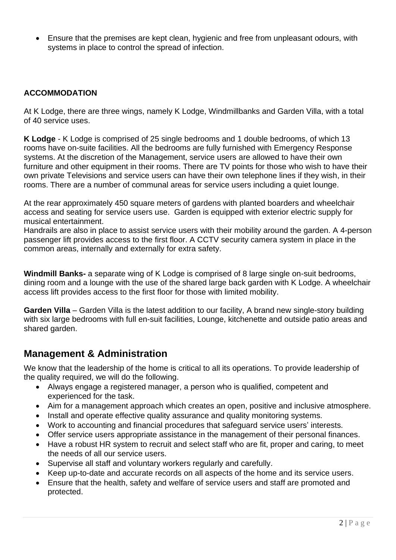• Ensure that the premises are kept clean, hygienic and free from unpleasant odours, with systems in place to control the spread of infection.

#### **ACCOMMODATION**

At K Lodge, there are three wings, namely K Lodge, Windmillbanks and Garden Villa, with a total of 40 service uses.

**K Lodge** - K Lodge is comprised of 25 single bedrooms and 1 double bedrooms, of which 13 rooms have on-suite facilities. All the bedrooms are fully furnished with Emergency Response systems. At the discretion of the Management, service users are allowed to have their own furniture and other equipment in their rooms. There are TV points for those who wish to have their own private Televisions and service users can have their own telephone lines if they wish, in their rooms. There are a number of communal areas for service users including a quiet lounge.

At the rear approximately 450 square meters of gardens with planted boarders and wheelchair access and seating for service users use. Garden is equipped with exterior electric supply for musical entertainment.

Handrails are also in place to assist service users with their mobility around the garden. A 4-person passenger lift provides access to the first floor. A CCTV security camera system in place in the common areas, internally and externally for extra safety.

**Windmill Banks-** a separate wing of K Lodge is comprised of 8 large single on-suit bedrooms, dining room and a lounge with the use of the shared large back garden with K Lodge. A wheelchair access lift provides access to the first floor for those with limited mobility.

**Garden Villa** – Garden Villa is the latest addition to our facility, A brand new single-story building with six large bedrooms with full en-suit facilities, Lounge, kitchenette and outside patio areas and shared garden.

#### **Management & Administration**

We know that the leadership of the home is critical to all its operations. To provide leadership of the quality required, we will do the following.

- Always engage a registered manager, a person who is qualified, competent and experienced for the task.
- Aim for a management approach which creates an open, positive and inclusive atmosphere.
- Install and operate effective quality assurance and quality monitoring systems.
- Work to accounting and financial procedures that safeguard service users' interests.
- Offer service users appropriate assistance in the management of their personal finances.
- Have a robust HR system to recruit and select staff who are fit, proper and caring, to meet the needs of all our service users.
- Supervise all staff and voluntary workers regularly and carefully.
- Keep up-to-date and accurate records on all aspects of the home and its service users.
- Ensure that the health, safety and welfare of service users and staff are promoted and protected.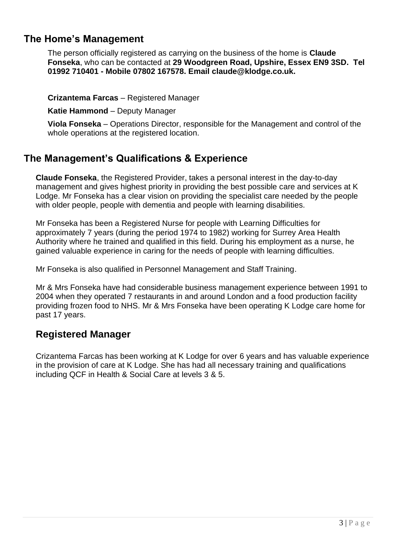#### **The Home's Management**

The person officially registered as carrying on the business of the home is **Claude Fonseka**, who can be contacted at **29 Woodgreen Road, Upshire, Essex EN9 3SD. Tel 01992 710401 - Mobile 07802 167578. Email claude@klodge.co.uk.**

**Crizantema Farcas** – Registered Manager

**Katie Hammond** – Deputy Manager

**Viola Fonseka** – Operations Director, responsible for the Management and control of the whole operations at the registered location.

#### **The Management's Qualifications & Experience**

**Claude Fonseka**, the Registered Provider, takes a personal interest in the day-to-day management and gives highest priority in providing the best possible care and services at K Lodge. Mr Fonseka has a clear vision on providing the specialist care needed by the people with older people, people with dementia and people with learning disabilities.

Mr Fonseka has been a Registered Nurse for people with Learning Difficulties for approximately 7 years (during the period 1974 to 1982) working for Surrey Area Health Authority where he trained and qualified in this field. During his employment as a nurse, he gained valuable experience in caring for the needs of people with learning difficulties.

Mr Fonseka is also qualified in Personnel Management and Staff Training.

Mr & Mrs Fonseka have had considerable business management experience between 1991 to 2004 when they operated 7 restaurants in and around London and a food production facility providing frozen food to NHS. Mr & Mrs Fonseka have been operating K Lodge care home for past 17 years.

#### **Registered Manager**

Crizantema Farcas has been working at K Lodge for over 6 years and has valuable experience in the provision of care at K Lodge. She has had all necessary training and qualifications including QCF in Health & Social Care at levels 3 & 5.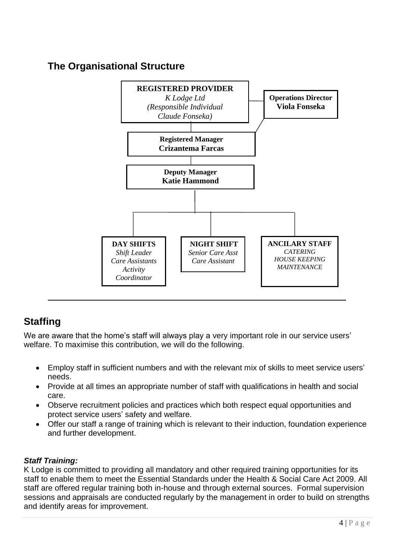## **The Organisational Structure**



# **Staffing**

We are aware that the home's staff will always play a very important role in our service users' welfare. To maximise this contribution, we will do the following.

- Employ staff in sufficient numbers and with the relevant mix of skills to meet service users' needs.
- Provide at all times an appropriate number of staff with qualifications in health and social care.
- Observe recruitment policies and practices which both respect equal opportunities and protect service users' safety and welfare.
- Offer our staff a range of training which is relevant to their induction, foundation experience and further development.

#### *Staff Training:*

K Lodge is committed to providing all mandatory and other required training opportunities for its staff to enable them to meet the Essential Standards under the Health & Social Care Act 2009. All staff are offered regular training both in-house and through external sources. Formal supervision sessions and appraisals are conducted regularly by the management in order to build on strengths and identify areas for improvement.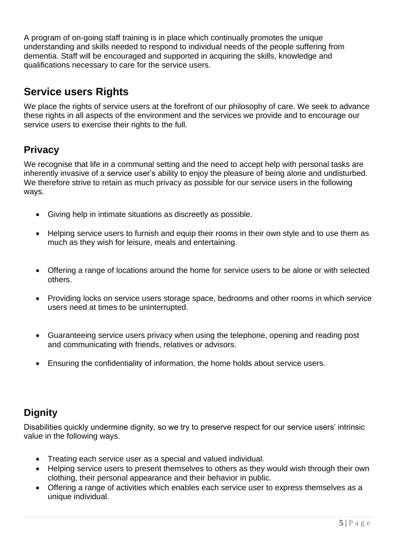A program of on-going staff training is in place which continually promotes the unique understanding and skills needed to respond to individual needs of the people suffering from dementia. Staff will be encouraged and supported in acquiring the skills, knowledge and qualifications necessary to care for the service users.

# **Service users Rights**

We place the rights of service users at the forefront of our philosophy of care. We seek to advance these rights in all aspects of the environment and the services we provide and to encourage our service users to exercise their rights to the full.

## **Privacy**

We recognise that life in a communal setting and the need to accept help with personal tasks are inherently invasive of a service user's ability to enjoy the pleasure of being alone and undisturbed. We therefore strive to retain as much privacy as possible for our service users in the following ways.

- Giving help in intimate situations as discreetly as possible.
- Helping service users to furnish and equip their rooms in their own style and to use them as much as they wish for leisure, meals and entertaining.
- Offering a range of locations around the home for service users to be alone or with selected others.
- Providing locks on service users storage space, bedrooms and other rooms in which service users need at times to be uninterrupted.
- Guaranteeing service users privacy when using the telephone, opening and reading post and communicating with friends, relatives or advisors.
- Ensuring the confidentiality of information, the home holds about service users.

# **Dignity**

Disabilities quickly undermine dignity, so we try to preserve respect for our service users' intrinsic value in the following ways.

- Treating each service user as a special and valued individual.
- Helping service users to present themselves to others as they would wish through their own clothing, their personal appearance and their behavior in public.
- Offering a range of activities which enables each service user to express themselves as a unique individual.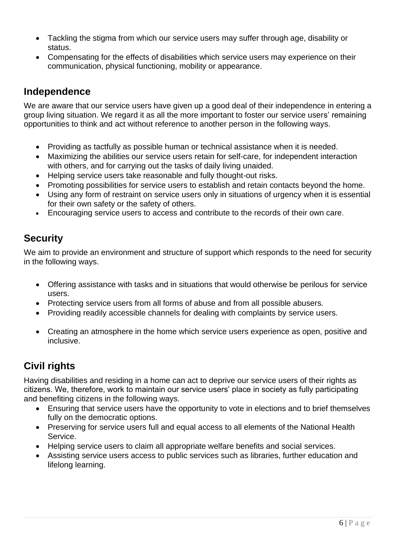- Tackling the stigma from which our service users may suffer through age, disability or status.
- Compensating for the effects of disabilities which service users may experience on their communication, physical functioning, mobility or appearance.

#### **Independence**

We are aware that our service users have given up a good deal of their independence in entering a group living situation. We regard it as all the more important to foster our service users' remaining opportunities to think and act without reference to another person in the following ways.

- Providing as tactfully as possible human or technical assistance when it is needed.
- Maximizing the abilities our service users retain for self-care, for independent interaction with others, and for carrying out the tasks of daily living unaided.
- Helping service users take reasonable and fully thought-out risks.
- Promoting possibilities for service users to establish and retain contacts beyond the home.
- Using any form of restraint on service users only in situations of urgency when it is essential for their own safety or the safety of others.
- Encouraging service users to access and contribute to the records of their own care.

## **Security**

We aim to provide an environment and structure of support which responds to the need for security in the following ways.

- Offering assistance with tasks and in situations that would otherwise be perilous for service users.
- Protecting service users from all forms of abuse and from all possible abusers.
- Providing readily accessible channels for dealing with complaints by service users.
- Creating an atmosphere in the home which service users experience as open, positive and inclusive.

## **Civil rights**

Having disabilities and residing in a home can act to deprive our service users of their rights as citizens. We, therefore, work to maintain our service users' place in society as fully participating and benefiting citizens in the following ways.

- Ensuring that service users have the opportunity to vote in elections and to brief themselves fully on the democratic options.
- Preserving for service users full and equal access to all elements of the National Health Service.
- Helping service users to claim all appropriate welfare benefits and social services.
- Assisting service users access to public services such as libraries, further education and lifelong learning.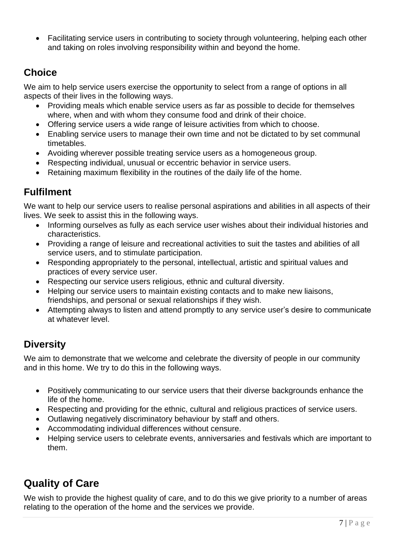• Facilitating service users in contributing to society through volunteering, helping each other and taking on roles involving responsibility within and beyond the home.

## **Choice**

We aim to help service users exercise the opportunity to select from a range of options in all aspects of their lives in the following ways.

- Providing meals which enable service users as far as possible to decide for themselves where, when and with whom they consume food and drink of their choice.
- Offering service users a wide range of leisure activities from which to choose.
- Enabling service users to manage their own time and not be dictated to by set communal timetables.
- Avoiding wherever possible treating service users as a homogeneous group.
- Respecting individual, unusual or eccentric behavior in service users.
- Retaining maximum flexibility in the routines of the daily life of the home.

## **Fulfilment**

We want to help our service users to realise personal aspirations and abilities in all aspects of their lives. We seek to assist this in the following ways.

- Informing ourselves as fully as each service user wishes about their individual histories and characteristics.
- Providing a range of leisure and recreational activities to suit the tastes and abilities of all service users, and to stimulate participation.
- Responding appropriately to the personal, intellectual, artistic and spiritual values and practices of every service user.
- Respecting our service users religious, ethnic and cultural diversity.
- Helping our service users to maintain existing contacts and to make new liaisons, friendships, and personal or sexual relationships if they wish.
- Attempting always to listen and attend promptly to any service user's desire to communicate at whatever level.

## **Diversity**

We aim to demonstrate that we welcome and celebrate the diversity of people in our community and in this home. We try to do this in the following ways.

- Positively communicating to our service users that their diverse backgrounds enhance the life of the home.
- Respecting and providing for the ethnic, cultural and religious practices of service users.
- Outlawing negatively discriminatory behaviour by staff and others.
- Accommodating individual differences without censure.
- Helping service users to celebrate events, anniversaries and festivals which are important to them.

# **Quality of Care**

We wish to provide the highest quality of care, and to do this we give priority to a number of areas relating to the operation of the home and the services we provide.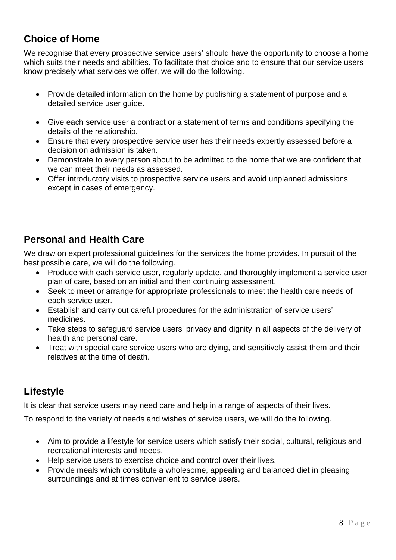## **Choice of Home**

We recognise that every prospective service users' should have the opportunity to choose a home which suits their needs and abilities. To facilitate that choice and to ensure that our service users know precisely what services we offer, we will do the following.

- Provide detailed information on the home by publishing a statement of purpose and a detailed service user guide.
- Give each service user a contract or a statement of terms and conditions specifying the details of the relationship.
- Ensure that every prospective service user has their needs expertly assessed before a decision on admission is taken.
- Demonstrate to every person about to be admitted to the home that we are confident that we can meet their needs as assessed.
- Offer introductory visits to prospective service users and avoid unplanned admissions except in cases of emergency.

## **Personal and Health Care**

We draw on expert professional guidelines for the services the home provides. In pursuit of the best possible care, we will do the following.

- Produce with each service user, regularly update, and thoroughly implement a service user plan of care, based on an initial and then continuing assessment.
- Seek to meet or arrange for appropriate professionals to meet the health care needs of each service user.
- Establish and carry out careful procedures for the administration of service users' medicines.
- Take steps to safeguard service users' privacy and dignity in all aspects of the delivery of health and personal care.
- Treat with special care service users who are dying, and sensitively assist them and their relatives at the time of death.

# **Lifestyle**

It is clear that service users may need care and help in a range of aspects of their lives.

To respond to the variety of needs and wishes of service users, we will do the following.

- Aim to provide a lifestyle for service users which satisfy their social, cultural, religious and recreational interests and needs.
- Help service users to exercise choice and control over their lives.
- Provide meals which constitute a wholesome, appealing and balanced diet in pleasing surroundings and at times convenient to service users.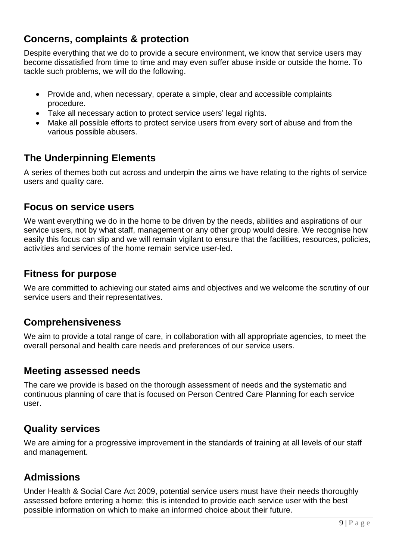## **Concerns, complaints & protection**

Despite everything that we do to provide a secure environment, we know that service users may become dissatisfied from time to time and may even suffer abuse inside or outside the home. To tackle such problems, we will do the following.

- Provide and, when necessary, operate a simple, clear and accessible complaints procedure.
- Take all necessary action to protect service users' legal rights.
- Make all possible efforts to protect service users from every sort of abuse and from the various possible abusers.

#### **The Underpinning Elements**

A series of themes both cut across and underpin the aims we have relating to the rights of service users and quality care.

#### **Focus on service users**

We want everything we do in the home to be driven by the needs, abilities and aspirations of our service users, not by what staff, management or any other group would desire. We recognise how easily this focus can slip and we will remain vigilant to ensure that the facilities, resources, policies, activities and services of the home remain service user-led.

#### **Fitness for purpose**

We are committed to achieving our stated aims and objectives and we welcome the scrutiny of our service users and their representatives.

#### **Comprehensiveness**

We aim to provide a total range of care, in collaboration with all appropriate agencies, to meet the overall personal and health care needs and preferences of our service users.

#### **Meeting assessed needs**

The care we provide is based on the thorough assessment of needs and the systematic and continuous planning of care that is focused on Person Centred Care Planning for each service user.

## **Quality services**

We are aiming for a progressive improvement in the standards of training at all levels of our staff and management.

## **Admissions**

Under Health & Social Care Act 2009, potential service users must have their needs thoroughly assessed before entering a home; this is intended to provide each service user with the best possible information on which to make an informed choice about their future.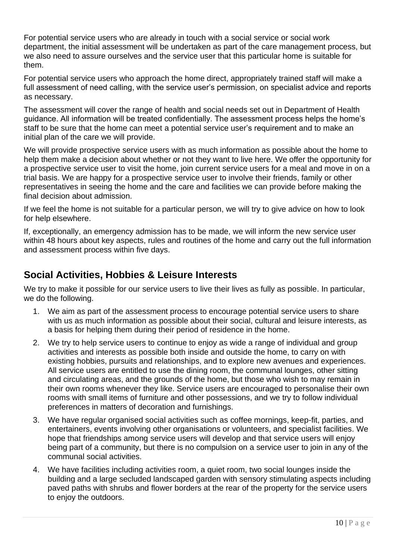For potential service users who are already in touch with a social service or social work department, the initial assessment will be undertaken as part of the care management process, but we also need to assure ourselves and the service user that this particular home is suitable for them.

For potential service users who approach the home direct, appropriately trained staff will make a full assessment of need calling, with the service user's permission, on specialist advice and reports as necessary.

The assessment will cover the range of health and social needs set out in Department of Health guidance. All information will be treated confidentially. The assessment process helps the home's staff to be sure that the home can meet a potential service user's requirement and to make an initial plan of the care we will provide.

We will provide prospective service users with as much information as possible about the home to help them make a decision about whether or not they want to live here. We offer the opportunity for a prospective service user to visit the home, join current service users for a meal and move in on a trial basis. We are happy for a prospective service user to involve their friends, family or other representatives in seeing the home and the care and facilities we can provide before making the final decision about admission.

If we feel the home is not suitable for a particular person, we will try to give advice on how to look for help elsewhere.

If, exceptionally, an emergency admission has to be made, we will inform the new service user within 48 hours about key aspects, rules and routines of the home and carry out the full information and assessment process within five days.

#### **Social Activities, Hobbies & Leisure Interests**

We try to make it possible for our service users to live their lives as fully as possible. In particular, we do the following.

- 1. We aim as part of the assessment process to encourage potential service users to share with us as much information as possible about their social, cultural and leisure interests, as a basis for helping them during their period of residence in the home.
- 2. We try to help service users to continue to enjoy as wide a range of individual and group activities and interests as possible both inside and outside the home, to carry on with existing hobbies, pursuits and relationships, and to explore new avenues and experiences. All service users are entitled to use the dining room, the communal lounges, other sitting and circulating areas, and the grounds of the home, but those who wish to may remain in their own rooms whenever they like. Service users are encouraged to personalise their own rooms with small items of furniture and other possessions, and we try to follow individual preferences in matters of decoration and furnishings.
- 3. We have regular organised social activities such as coffee mornings, keep-fit, parties, and entertainers, events involving other organisations or volunteers, and specialist facilities. We hope that friendships among service users will develop and that service users will enjoy being part of a community, but there is no compulsion on a service user to join in any of the communal social activities.
- 4. We have facilities including activities room, a quiet room, two social lounges inside the building and a large secluded landscaped garden with sensory stimulating aspects including paved paths with shrubs and flower borders at the rear of the property for the service users to enjoy the outdoors.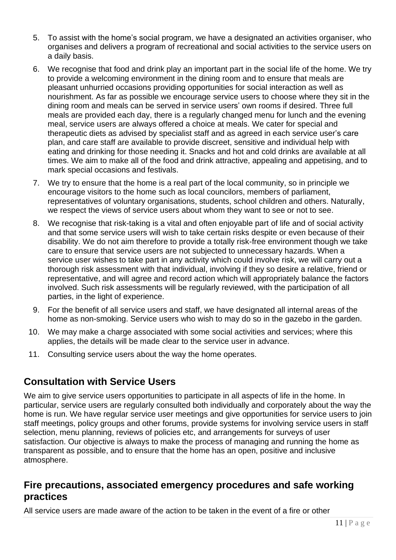- 5. To assist with the home's social program, we have a designated an activities organiser, who organises and delivers a program of recreational and social activities to the service users on a daily basis.
- 6. We recognise that food and drink play an important part in the social life of the home. We try to provide a welcoming environment in the dining room and to ensure that meals are pleasant unhurried occasions providing opportunities for social interaction as well as nourishment. As far as possible we encourage service users to choose where they sit in the dining room and meals can be served in service users' own rooms if desired. Three full meals are provided each day, there is a regularly changed menu for lunch and the evening meal, service users are always offered a choice at meals. We cater for special and therapeutic diets as advised by specialist staff and as agreed in each service user's care plan, and care staff are available to provide discreet, sensitive and individual help with eating and drinking for those needing it. Snacks and hot and cold drinks are available at all times. We aim to make all of the food and drink attractive, appealing and appetising, and to mark special occasions and festivals.
- 7. We try to ensure that the home is a real part of the local community, so in principle we encourage visitors to the home such as local councilors, members of parliament, representatives of voluntary organisations, students, school children and others. Naturally, we respect the views of service users about whom they want to see or not to see.
- 8. We recognise that risk-taking is a vital and often enjoyable part of life and of social activity and that some service users will wish to take certain risks despite or even because of their disability. We do not aim therefore to provide a totally risk-free environment though we take care to ensure that service users are not subjected to unnecessary hazards. When a service user wishes to take part in any activity which could involve risk, we will carry out a thorough risk assessment with that individual, involving if they so desire a relative, friend or representative, and will agree and record action which will appropriately balance the factors involved. Such risk assessments will be regularly reviewed, with the participation of all parties, in the light of experience.
- 9. For the benefit of all service users and staff, we have designated all internal areas of the home as non-smoking. Service users who wish to may do so in the gazebo in the garden.
- 10. We may make a charge associated with some social activities and services; where this applies, the details will be made clear to the service user in advance.
- 11. Consulting service users about the way the home operates.

#### **Consultation with Service Users**

We aim to give service users opportunities to participate in all aspects of life in the home. In particular, service users are regularly consulted both individually and corporately about the way the home is run. We have regular service user meetings and give opportunities for service users to join staff meetings, policy groups and other forums, provide systems for involving service users in staff selection, menu planning, reviews of policies etc, and arrangements for surveys of user satisfaction. Our objective is always to make the process of managing and running the home as transparent as possible, and to ensure that the home has an open, positive and inclusive atmosphere.

#### **Fire precautions, associated emergency procedures and safe working practices**

All service users are made aware of the action to be taken in the event of a fire or other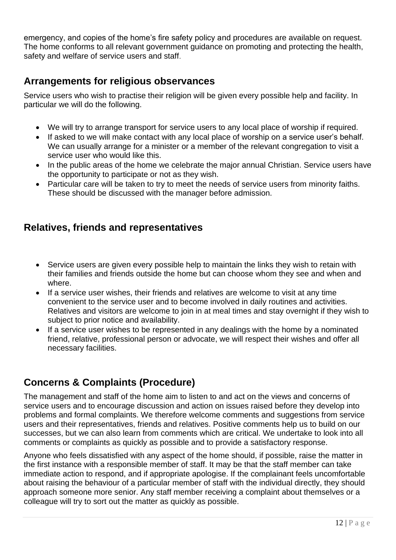emergency, and copies of the home's fire safety policy and procedures are available on request. The home conforms to all relevant government guidance on promoting and protecting the health, safety and welfare of service users and staff.

#### **Arrangements for religious observances**

Service users who wish to practise their religion will be given every possible help and facility. In particular we will do the following.

- We will try to arrange transport for service users to any local place of worship if required.
- If asked to we will make contact with any local place of worship on a service user's behalf. We can usually arrange for a minister or a member of the relevant congregation to visit a service user who would like this.
- In the public areas of the home we celebrate the major annual Christian. Service users have the opportunity to participate or not as they wish.
- Particular care will be taken to try to meet the needs of service users from minority faiths. These should be discussed with the manager before admission.

#### **Relatives, friends and representatives**

- Service users are given every possible help to maintain the links they wish to retain with their families and friends outside the home but can choose whom they see and when and where.
- If a service user wishes, their friends and relatives are welcome to visit at any time convenient to the service user and to become involved in daily routines and activities. Relatives and visitors are welcome to join in at meal times and stay overnight if they wish to subject to prior notice and availability.
- If a service user wishes to be represented in any dealings with the home by a nominated friend, relative, professional person or advocate, we will respect their wishes and offer all necessary facilities.

## **Concerns & Complaints (Procedure)**

The management and staff of the home aim to listen to and act on the views and concerns of service users and to encourage discussion and action on issues raised before they develop into problems and formal complaints. We therefore welcome comments and suggestions from service users and their representatives, friends and relatives. Positive comments help us to build on our successes, but we can also learn from comments which are critical. We undertake to look into all comments or complaints as quickly as possible and to provide a satisfactory response.

Anyone who feels dissatisfied with any aspect of the home should, if possible, raise the matter in the first instance with a responsible member of staff. It may be that the staff member can take immediate action to respond, and if appropriate apologise. If the complainant feels uncomfortable about raising the behaviour of a particular member of staff with the individual directly, they should approach someone more senior. Any staff member receiving a complaint about themselves or a colleague will try to sort out the matter as quickly as possible.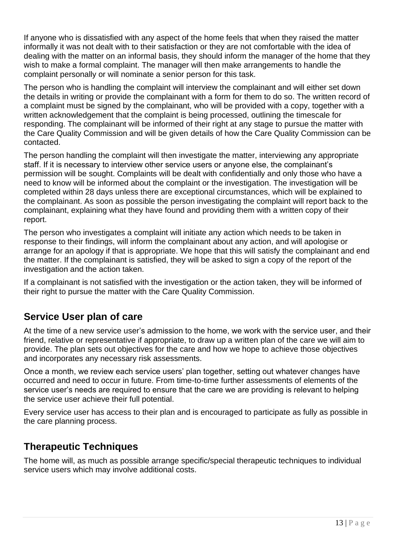If anyone who is dissatisfied with any aspect of the home feels that when they raised the matter informally it was not dealt with to their satisfaction or they are not comfortable with the idea of dealing with the matter on an informal basis, they should inform the manager of the home that they wish to make a formal complaint. The manager will then make arrangements to handle the complaint personally or will nominate a senior person for this task.

The person who is handling the complaint will interview the complainant and will either set down the details in writing or provide the complainant with a form for them to do so. The written record of a complaint must be signed by the complainant, who will be provided with a copy, together with a written acknowledgement that the complaint is being processed, outlining the timescale for responding. The complainant will be informed of their right at any stage to pursue the matter with the Care Quality Commission and will be given details of how the Care Quality Commission can be contacted.

The person handling the complaint will then investigate the matter, interviewing any appropriate staff. If it is necessary to interview other service users or anyone else, the complainant's permission will be sought. Complaints will be dealt with confidentially and only those who have a need to know will be informed about the complaint or the investigation. The investigation will be completed within 28 days unless there are exceptional circumstances, which will be explained to the complainant. As soon as possible the person investigating the complaint will report back to the complainant, explaining what they have found and providing them with a written copy of their report.

The person who investigates a complaint will initiate any action which needs to be taken in response to their findings, will inform the complainant about any action, and will apologise or arrange for an apology if that is appropriate. We hope that this will satisfy the complainant and end the matter. If the complainant is satisfied, they will be asked to sign a copy of the report of the investigation and the action taken.

If a complainant is not satisfied with the investigation or the action taken, they will be informed of their right to pursue the matter with the Care Quality Commission.

## **Service User plan of care**

At the time of a new service user's admission to the home, we work with the service user, and their friend, relative or representative if appropriate, to draw up a written plan of the care we will aim to provide. The plan sets out objectives for the care and how we hope to achieve those objectives and incorporates any necessary risk assessments.

Once a month, we review each service users' plan together, setting out whatever changes have occurred and need to occur in future. From time-to-time further assessments of elements of the service user's needs are required to ensure that the care we are providing is relevant to helping the service user achieve their full potential.

Every service user has access to their plan and is encouraged to participate as fully as possible in the care planning process.

#### **Therapeutic Techniques**

The home will, as much as possible arrange specific/special therapeutic techniques to individual service users which may involve additional costs.